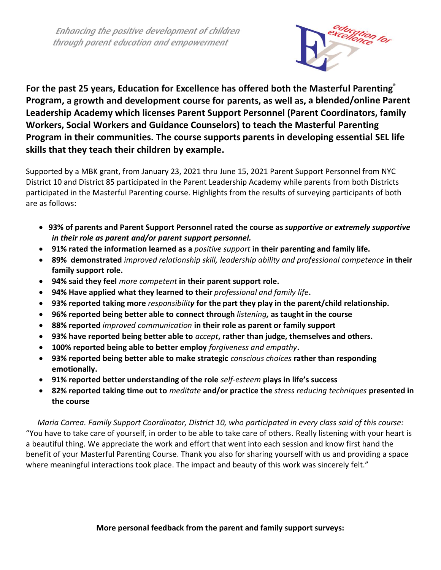Enhancing the positive development of children through parent education and empowerment



For the past 25 years, Education for Excellence has offered both the Masterful Parenting Program, a growth and development course for parents, as well as, a blended/online Parent **Leadership Academy which licenses Parent Support Personnel (Parent Coordinators, family Workers, Social Workers and Guidance Counselors) to teach the Masterful Parenting Program in their communities. The course supports parents in developing essential SEL life skills that they teach their children by example.**

Supported by a MBK grant, from January 23, 2021 thru June 15, 2021 Parent Support Personnel from NYC District 10 and District 85 participated in the Parent Leadership Academy while parents from both Districts participated in the Masterful Parenting course. Highlights from the results of surveying participants of both are as follows:

- **93% of parents and Parent Support Personnel rated the course as** *supportive or extremely supportive in their role as parent and/or parent support personnel.*
- **91% rated the information learned as a** *positive support* **in their parenting and family life.**
- **89% demonstrated** *improved relationship skill, leadership ability and professional competence* **in their family support role.**
- **94% said they feel** *more competent* **in their parent support role.**
- **94% Have applied what they learned to their** *professional and family life***.**
- **93% reported taking more** *responsibility* **for the part they play in the parent/child relationship.**
- **96% reported being better able to connect through** *listening,* **as taught in the course**
- **88% reported** *improved communication* **in their role as parent or family support**
- **93% have reported being better able to** *accept***, rather than judge, themselves and others.**
- **100% reported being able to better employ** *forgiveness and empathy***.**
- **93% reported being better able to make strategic** *conscious choices* **rather than responding emotionally.**
- **91% reported better understanding of the role** *self-esteem* **plays in life's success**
- **82% reported taking time out to** *meditate* **and/or practice the** *stress reducing techniques* **presented in the course**

*Maria Correa. Family Support Coordinator, District 10, who participated in every class said of this course:* "You have to take care of yourself, in order to be able to take care of others. Really listening with your heart is a beautiful thing. We appreciate the work and effort that went into each session and know first hand the benefit of your Masterful Parenting Course. Thank you also for sharing yourself with us and providing a space where meaningful interactions took place. The impact and beauty of this work was sincerely felt."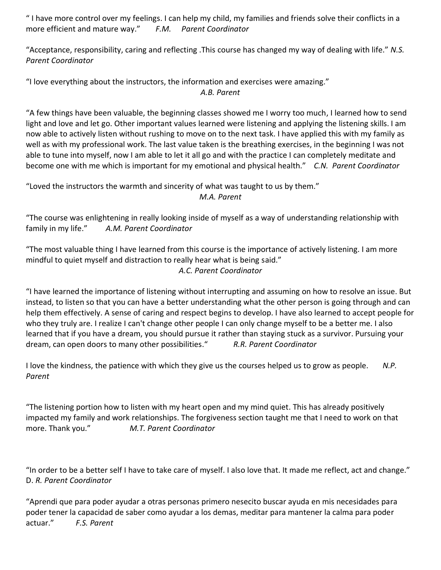" I have more control over my feelings. I can help my child, my families and friends solve their conflicts in a more efficient and mature way." *F.M. Parent Coordinator*

"Acceptance, responsibility, caring and reflecting .This course has changed my way of dealing with life." *N.S. Parent Coordinator*

"I love everything about the instructors, the information and exercises were amazing."

*A.B. Parent*

"A few things have been valuable, the beginning classes showed me I worry too much, I learned how to send light and love and let go. Other important values learned were listening and applying the listening skills. I am now able to actively listen without rushing to move on to the next task. I have applied this with my family as well as with my professional work. The last value taken is the breathing exercises, in the beginning I was not able to tune into myself, now I am able to let it all go and with the practice I can completely meditate and become one with me which is important for my emotional and physical health." *C.N. Parent Coordinator*

"Loved the instructors the warmth and sincerity of what was taught to us by them." *M.A. Parent* 

"The course was enlightening in really looking inside of myself as a way of understanding relationship with family in my life." *A.M. Parent Coordinator*

"The most valuable thing I have learned from this course is the importance of actively listening. I am more mindful to quiet myself and distraction to really hear what is being said." *A.C. Parent Coordinator*

"I have learned the importance of listening without interrupting and assuming on how to resolve an issue. But instead, to listen so that you can have a better understanding what the other person is going through and can help them effectively. A sense of caring and respect begins to develop. I have also learned to accept people for who they truly are. I realize I can't change other people I can only change myself to be a better me. I also learned that if you have a dream, you should pursue it rather than staying stuck as a survivor. Pursuing your dream, can open doors to many other possibilities." *R.R. Parent Coordinator*

I love the kindness, the patience with which they give us the courses helped us to grow as people. *N.P. Parent*

"The listening portion how to listen with my heart open and my mind quiet. This has already positively impacted my family and work relationships. The forgiveness section taught me that I need to work on that more. Thank you." *M.T. Parent Coordinator*

"In order to be a better self I have to take care of myself. I also love that. It made me reflect, act and change." D. *R. Parent Coordinator*

"Aprendi que para poder ayudar a otras personas primero nesecito buscar ayuda en mis necesidades para poder tener la capacidad de saber como ayudar a los demas, meditar para mantener la calma para poder actuar." *F.S. Parent*